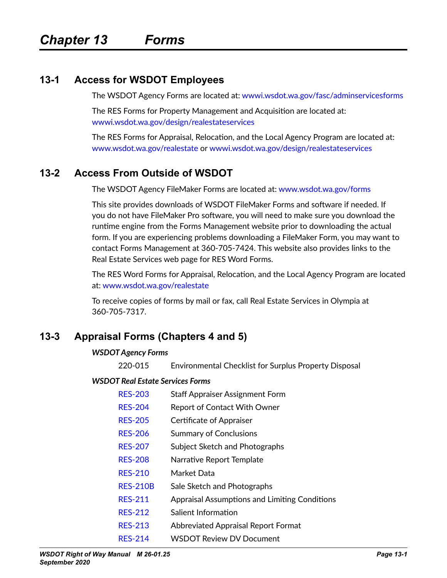## **13-1 Access for WSDOT Employees**

The WSDOT Agency Forms are located at: [wwwi.wsdot.wa.gov/fasc/adminservicesforms](http://wwwi.wsdot.wa.gov/fasc/adminservicesforms)

The RES Forms for Property Management and Acquisition are located at: [wwwi.wsdot.wa.gov/design/realestateservices](http://wwwi.wsdot.wa.gov/design/realestateservices)

The RES Forms for Appraisal, Relocation, and the Local Agency Program are located at: [www.wsdot.wa.gov/realestate](http://www.wsdot.wa.gov/realestate) or [wwwi.wsdot.wa.gov/design/realestateservices](http://wwwi.wsdot.wa.gov/design/realestateservices)

## **13-2 Access From Outside of WSDOT**

The WSDOT Agency FileMaker Forms are located at: [www.wsdot.wa.gov/forms](http://www.wsdot.wa.gov/forms)

This site provides downloads of WSDOT FileMaker Forms and software if needed. If you do not have FileMaker Pro software, you will need to make sure you download the runtime engine from the Forms Management website prior to downloading the actual form. If you are experiencing problems downloading a FileMaker Form, you may want to contact Forms Management at 360-705-7424. This website also provides links to the Real Estate Services web page for RES Word Forms.

The RES Word Forms for Appraisal, Relocation, and the Local Agency Program are located at: [www.wsdot.wa.gov/realestate](http://www.wsdot.wa.gov/realestate)

To receive copies of forms by mail or fax, call Real Estate Services in Olympia at 360-705-7317.

## **13-3 Appraisal Forms (Chapters 4 and 5)**

### *WSDOT Agency Forms*

220-015 Environmental Checklist for Surplus Property Disposal

### *WSDOT Real Estate Services Forms*

| <b>Staff Appraiser Assignment Form</b> |
|----------------------------------------|
|                                        |

- [RES-204](http://www.wsdot.wa.gov/RealEstate/forms/Appraisal/default.htm) Report of Contact With Owner
- [RES-205](http://www.wsdot.wa.gov/RealEstate/forms/Appraisal/default.htm) Certificate of Appraiser
- [RES-206](http://www.wsdot.wa.gov/RealEstate/forms/Appraisal/default.htm) Summary of Conclusions
- [RES-207](http://www.wsdot.wa.gov/RealEstate/forms/Appraisal/default.htm) Subject Sketch and Photographs
- [RES-208](http://www.wsdot.wa.gov/RealEstate/forms/Appraisal/default.htm) Narrative Report Template
- [RES-210](http://www.wsdot.wa.gov/RealEstate/forms/Appraisal/default.htm) Market Data
- [RES-210B](http://www.wsdot.wa.gov/RealEstate/forms/Appraisal/default.htm) Sale Sketch and Photographs
- [RES-211](http://www.wsdot.wa.gov/RealEstate/forms/Appraisal/default.htm) Appraisal Assumptions and Limiting Conditions
- [RES-212](http://www.wsdot.wa.gov/RealEstate/forms/Appraisal/default.htm) Salient Information
- [RES-213](http://www.wsdot.wa.gov/RealEstate/forms/Appraisal/default.htm) Abbreviated Appraisal Report Format
- [RES-214](http://www.wsdot.wa.gov/RealEstate/forms/Appraisal/default.htm) WSDOT Review DV Document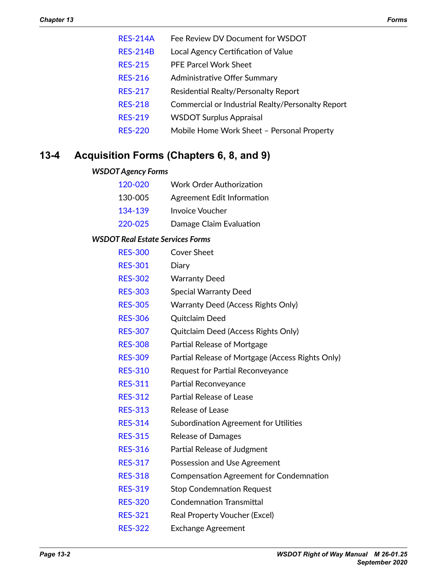- [RES-214A](http://www.wsdot.wa.gov/RealEstate/forms/Appraisal/default.htm) Fee Review DV Document for WSDOT
- [RES-214B](http://www.wsdot.wa.gov/RealEstate/forms/Appraisal/default.htm) Local Agency Certification of Value
- [RES-215](http://www.wsdot.wa.gov/RealEstate/forms/Appraisal/default.htm) PFE Parcel Work Sheet
- [RES-216](http://www.wsdot.wa.gov/RealEstate/forms/Appraisal/default.htm) Administrative Offer Summary
- [RES-217](http://www.wsdot.wa.gov/RealEstate/forms/Appraisal/default.htm) Residential Realty/Personalty Report
- [RES-218](http://www.wsdot.wa.gov/RealEstate/forms/Appraisal/default.htm) Commercial or Industrial Realty/Personalty Report
- [RES-219](http://www.wsdot.wa.gov/RealEstate/forms/Appraisal/default.htm) WSDOT Surplus Appraisal
- [RES-220](http://www.wsdot.wa.gov/RealEstate/forms/Appraisal/default.htm) Mobile Home Work Sheet Personal Property

## **13-4 Acquisition Forms (Chapters 6, 8, and 9)**

### *WSDOT Agency Forms*

| 120-020 | <b>Work Order Authorization</b> |
|---------|---------------------------------|
| 130-005 | Agreement Edit Information      |
| 134-139 | <b>Invoice Voucher</b>          |
| 220-025 | Damage Claim Evaluation         |

### *WSDOT Real Estate Services Forms*

| <b>RES-300</b> | <b>Cover Sheet</b>                               |
|----------------|--------------------------------------------------|
| <b>RES-301</b> | Diary                                            |
| <b>RES-302</b> | <b>Warranty Deed</b>                             |
| <b>RES-303</b> | <b>Special Warranty Deed</b>                     |
| <b>RES-305</b> | <b>Warranty Deed (Access Rights Only)</b>        |
| <b>RES-306</b> | Quitclaim Deed                                   |
| <b>RES-307</b> | Quitclaim Deed (Access Rights Only)              |
| <b>RES-308</b> | Partial Release of Mortgage                      |
| <b>RES-309</b> | Partial Release of Mortgage (Access Rights Only) |
| <b>RES-310</b> | Request for Partial Reconveyance                 |
| <b>RES-311</b> | Partial Reconveyance                             |
| <b>RES-312</b> | <b>Partial Release of Lease</b>                  |
| <b>RES-313</b> | Release of Lease                                 |
| <b>RES-314</b> | Subordination Agreement for Utilities            |
| <b>RES-315</b> | <b>Release of Damages</b>                        |
| <b>RES-316</b> | Partial Release of Judgment                      |
| <b>RES-317</b> | Possession and Use Agreement                     |
| <b>RES-318</b> | <b>Compensation Agreement for Condemnation</b>   |
| <b>RES-319</b> | <b>Stop Condemnation Request</b>                 |
| <b>RES-320</b> | <b>Condemnation Transmittal</b>                  |
| <b>RES-321</b> | Real Property Voucher (Excel)                    |

[RES-322](http://wwwi.wsdot.wa.gov/Design/RealEstateServices/AcquisitionForms.htm) Exchange Agreement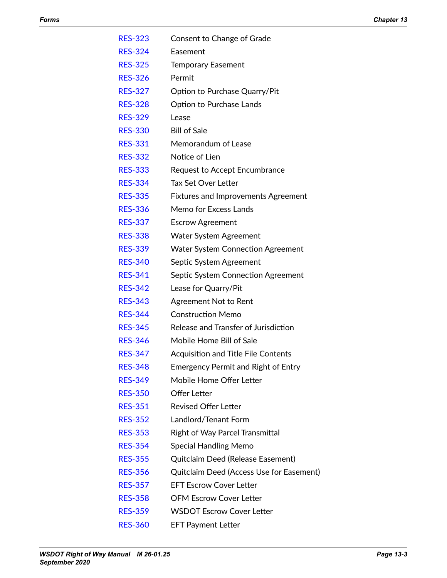| <b>RES-323</b> | Consent to Change of Grade                 |
|----------------|--------------------------------------------|
| <b>RES-324</b> | Easement                                   |
| <b>RES-325</b> | <b>Temporary Easement</b>                  |
| <b>RES-326</b> | Permit                                     |
| <b>RES-327</b> | Option to Purchase Quarry/Pit              |
| <b>RES-328</b> | <b>Option to Purchase Lands</b>            |
| <b>RES-329</b> | Lease                                      |
| <b>RES-330</b> | <b>Bill of Sale</b>                        |
| <b>RES-331</b> | Memorandum of Lease                        |
| <b>RES-332</b> | Notice of Lien                             |
| <b>RES-333</b> | <b>Request to Accept Encumbrance</b>       |
| <b>RES-334</b> | <b>Tax Set Over Letter</b>                 |
| <b>RES-335</b> | <b>Fixtures and Improvements Agreement</b> |
| <b>RES-336</b> | Memo for Excess Lands                      |
| <b>RES-337</b> | <b>Escrow Agreement</b>                    |
| <b>RES-338</b> | <b>Water System Agreement</b>              |
| <b>RES-339</b> | <b>Water System Connection Agreement</b>   |
| <b>RES-340</b> | Septic System Agreement                    |
| <b>RES-341</b> | Septic System Connection Agreement         |
| <b>RES-342</b> | Lease for Quarry/Pit                       |
| <b>RES-343</b> | <b>Agreement Not to Rent</b>               |
| <b>RES-344</b> | <b>Construction Memo</b>                   |
| <b>RES-345</b> | Release and Transfer of Jurisdiction       |
| <b>RES-346</b> | Mobile Home Bill of Sale                   |
| <b>RES-347</b> | <b>Acquisition and Title File Contents</b> |
| <b>RES-348</b> | <b>Emergency Permit and Right of Entry</b> |
| <b>RES-349</b> | Mobile Home Offer Letter                   |
| <b>RES-350</b> | <b>Offer Letter</b>                        |
| <b>RES-351</b> | <b>Revised Offer Letter</b>                |
| <b>RES-352</b> | Landlord/Tenant Form                       |
| <b>RES-353</b> | <b>Right of Way Parcel Transmittal</b>     |
| <b>RES-354</b> | <b>Special Handling Memo</b>               |
| <b>RES-355</b> | Quitclaim Deed (Release Easement)          |
| <b>RES-356</b> | Quitclaim Deed (Access Use for Easement)   |
| <b>RES-357</b> | <b>EFT Escrow Cover Letter</b>             |
| <b>RES-358</b> | <b>OFM Escrow Cover Letter</b>             |
| <b>RES-359</b> | <b>WSDOT Escrow Cover Letter</b>           |
|                |                                            |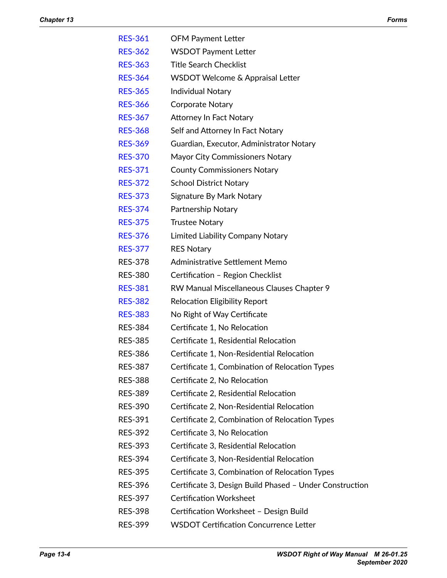| <b>RES-361</b> | <b>OFM Payment Letter</b>                               |
|----------------|---------------------------------------------------------|
| <b>RES-362</b> | <b>WSDOT Payment Letter</b>                             |
| <b>RES-363</b> | <b>Title Search Checklist</b>                           |
| <b>RES-364</b> | WSDOT Welcome & Appraisal Letter                        |
| <b>RES-365</b> | <b>Individual Notary</b>                                |
| <b>RES-366</b> | <b>Corporate Notary</b>                                 |
| <b>RES-367</b> | <b>Attorney In Fact Notary</b>                          |
| <b>RES-368</b> | Self and Attorney In Fact Notary                        |
| <b>RES-369</b> | Guardian, Executor, Administrator Notary                |
| <b>RES-370</b> | Mayor City Commissioners Notary                         |
| <b>RES-371</b> | <b>County Commissioners Notary</b>                      |
| <b>RES-372</b> | <b>School District Notary</b>                           |
| <b>RES-373</b> | Signature By Mark Notary                                |
| <b>RES-374</b> | Partnership Notary                                      |
| <b>RES-375</b> | <b>Trustee Notary</b>                                   |
| <b>RES-376</b> | <b>Limited Liability Company Notary</b>                 |
| <b>RES-377</b> | <b>RES Notary</b>                                       |
| <b>RES-378</b> | Administrative Settlement Memo                          |
| <b>RES-380</b> | Certification - Region Checklist                        |
| <b>RES-381</b> | RW Manual Miscellaneous Clauses Chapter 9               |
| <b>RES-382</b> | <b>Relocation Eligibility Report</b>                    |
| <b>RES-383</b> | No Right of Way Certificate                             |
| <b>RES-384</b> | Certificate 1, No Relocation                            |
| <b>RES-385</b> | Certificate 1, Residential Relocation                   |
| <b>RES-386</b> | Certificate 1, Non-Residential Relocation               |
| <b>RES-387</b> | Certificate 1, Combination of Relocation Types          |
| <b>RES-388</b> | Certificate 2, No Relocation                            |
| <b>RES-389</b> | Certificate 2, Residential Relocation                   |
| <b>RES-390</b> | Certificate 2, Non-Residential Relocation               |
| <b>RES-391</b> | Certificate 2, Combination of Relocation Types          |
| <b>RES-392</b> | Certificate 3, No Relocation                            |
| <b>RES-393</b> | Certificate 3, Residential Relocation                   |
| <b>RES-394</b> | Certificate 3, Non-Residential Relocation               |
| <b>RES-395</b> | Certificate 3, Combination of Relocation Types          |
| <b>RES-396</b> | Certificate 3, Design Build Phased - Under Construction |
| <b>RES-397</b> | <b>Certification Worksheet</b>                          |
| <b>RES-398</b> | Certification Worksheet - Design Build                  |
| <b>RES-399</b> | <b>WSDOT Certification Concurrence Letter</b>           |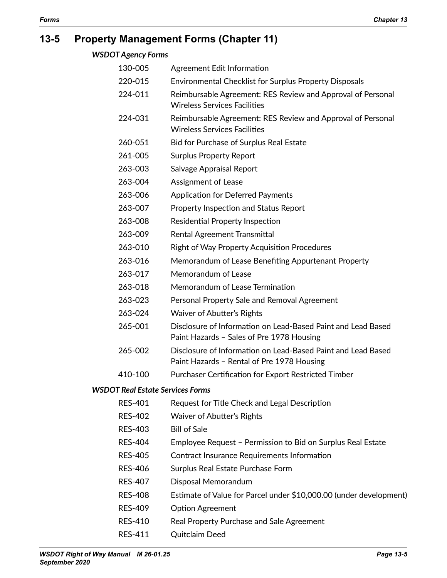# **13-5 Property Management Forms (Chapter 11)**

| <b>WSDOT Agency Forms</b> |  |
|---------------------------|--|
|---------------------------|--|

| 130-005                                 | Agreement Edit Information                                                                                 |
|-----------------------------------------|------------------------------------------------------------------------------------------------------------|
| 220-015                                 | Environmental Checklist for Surplus Property Disposals                                                     |
| 224-011                                 | Reimbursable Agreement: RES Review and Approval of Personal<br><b>Wireless Services Facilities</b>         |
| 224-031                                 | Reimbursable Agreement: RES Review and Approval of Personal<br><b>Wireless Services Facilities</b>         |
| 260-051                                 | Bid for Purchase of Surplus Real Estate                                                                    |
| 261-005                                 | <b>Surplus Property Report</b>                                                                             |
| 263-003                                 | Salvage Appraisal Report                                                                                   |
| 263-004                                 | Assignment of Lease                                                                                        |
| 263-006                                 | <b>Application for Deferred Payments</b>                                                                   |
| 263-007                                 | Property Inspection and Status Report                                                                      |
| 263-008                                 | Residential Property Inspection                                                                            |
| 263-009                                 | <b>Rental Agreement Transmittal</b>                                                                        |
| 263-010                                 | <b>Right of Way Property Acquisition Procedures</b>                                                        |
| 263-016                                 | Memorandum of Lease Benefiting Appurtenant Property                                                        |
| 263-017                                 | Memorandum of Lease                                                                                        |
| 263-018                                 | Memorandum of Lease Termination                                                                            |
| 263-023                                 | Personal Property Sale and Removal Agreement                                                               |
| 263-024                                 | Waiver of Abutter's Rights                                                                                 |
| 265-001                                 | Disclosure of Information on Lead-Based Paint and Lead Based<br>Paint Hazards - Sales of Pre 1978 Housing  |
| 265-002                                 | Disclosure of Information on Lead-Based Paint and Lead Based<br>Paint Hazards - Rental of Pre 1978 Housing |
| 410-100                                 | Purchaser Certification for Export Restricted Timber                                                       |
| <b>WSDOT Real Estate Services Forms</b> |                                                                                                            |
| <b>RES-401</b>                          | Request for Title Check and Legal Description                                                              |
| <b>RES-402</b>                          | Waiver of Abutter's Rights                                                                                 |
| <b>RES-403</b>                          | <b>Bill of Sale</b>                                                                                        |
| <b>RES-404</b>                          | Employee Request - Permission to Bid on Surplus Real Estate                                                |
| <b>RES-405</b>                          | Contract Insurance Requirements Information                                                                |
| <b>RES-406</b>                          | Surplus Real Estate Purchase Form                                                                          |
| <b>RES-407</b>                          | Disposal Memorandum                                                                                        |
| <b>RES-408</b>                          | Estimate of Value for Parcel under \$10,000.00 (under development)                                         |

- RES-409 Option Agreement
- RES-410 Real Property Purchase and Sale Agreement
- RES-411 Quitclaim Deed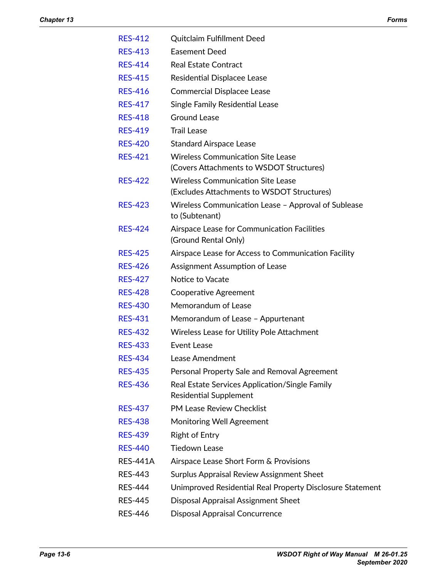| <b>RES-412</b>  | <b>Quitclaim Fulfillment Deed</b>                                                      |
|-----------------|----------------------------------------------------------------------------------------|
| <b>RES-413</b>  | <b>Easement Deed</b>                                                                   |
| <b>RES-414</b>  | <b>Real Estate Contract</b>                                                            |
| <b>RES-415</b>  | Residential Displacee Lease                                                            |
| <b>RES-416</b>  | <b>Commercial Displacee Lease</b>                                                      |
| <b>RES-417</b>  | Single Family Residential Lease                                                        |
| <b>RES-418</b>  | <b>Ground Lease</b>                                                                    |
| <b>RES-419</b>  | <b>Trail Lease</b>                                                                     |
| <b>RES-420</b>  | <b>Standard Airspace Lease</b>                                                         |
| <b>RES-421</b>  | <b>Wireless Communication Site Lease</b><br>(Covers Attachments to WSDOT Structures)   |
| <b>RES-422</b>  | <b>Wireless Communication Site Lease</b><br>(Excludes Attachments to WSDOT Structures) |
| <b>RES-423</b>  | Wireless Communication Lease - Approval of Sublease<br>to (Subtenant)                  |
| <b>RES-424</b>  | Airspace Lease for Communication Facilities<br>(Ground Rental Only)                    |
| <b>RES-425</b>  | Airspace Lease for Access to Communication Facility                                    |
| <b>RES-426</b>  | Assignment Assumption of Lease                                                         |
| <b>RES-427</b>  | Notice to Vacate                                                                       |
| <b>RES-428</b>  | Cooperative Agreement                                                                  |
| <b>RES-430</b>  | Memorandum of Lease                                                                    |
| <b>RES-431</b>  | Memorandum of Lease - Appurtenant                                                      |
| <b>RES-432</b>  | Wireless Lease for Utility Pole Attachment                                             |
| <b>RES-433</b>  | Event Lease                                                                            |
| <b>RES-434</b>  | Lease Amendment                                                                        |
| <b>RES-435</b>  | Personal Property Sale and Removal Agreement                                           |
| <b>RES-436</b>  | Real Estate Services Application/Single Family<br><b>Residential Supplement</b>        |
| <b>RES-437</b>  | <b>PM Lease Review Checklist</b>                                                       |
| <b>RES-438</b>  | Monitoring Well Agreement                                                              |
| <b>RES-439</b>  | <b>Right of Entry</b>                                                                  |
| <b>RES-440</b>  | <b>Tiedown Lease</b>                                                                   |
| <b>RES-441A</b> | Airspace Lease Short Form & Provisions                                                 |
| <b>RES-443</b>  | Surplus Appraisal Review Assignment Sheet                                              |
| <b>RES-444</b>  | Unimproved Residential Real Property Disclosure Statement                              |
| <b>RES-445</b>  | <b>Disposal Appraisal Assignment Sheet</b>                                             |
| <b>RES-446</b>  | <b>Disposal Appraisal Concurrence</b>                                                  |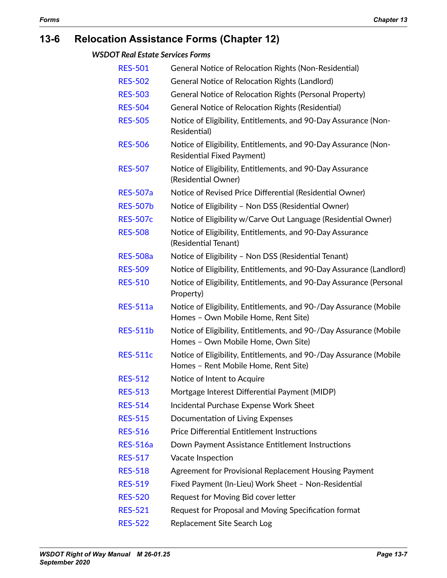# **13-6 Relocation Assistance Forms (Chapter 12)**

*WSDOT Real Estate Services Forms*

| <b>RES-501</b>  | General Notice of Relocation Rights (Non-Residential)                                                      |
|-----------------|------------------------------------------------------------------------------------------------------------|
| <b>RES-502</b>  | <b>General Notice of Relocation Rights (Landlord)</b>                                                      |
| <b>RES-503</b>  | General Notice of Relocation Rights (Personal Property)                                                    |
| <b>RES-504</b>  | <b>General Notice of Relocation Rights (Residential)</b>                                                   |
| <b>RES-505</b>  | Notice of Eligibility, Entitlements, and 90-Day Assurance (Non-<br>Residential)                            |
| <b>RES-506</b>  | Notice of Eligibility, Entitlements, and 90-Day Assurance (Non-<br><b>Residential Fixed Payment)</b>       |
| <b>RES-507</b>  | Notice of Eligibility, Entitlements, and 90-Day Assurance<br>(Residential Owner)                           |
| <b>RES-507a</b> | Notice of Revised Price Differential (Residential Owner)                                                   |
| <b>RES-507b</b> | Notice of Eligibility - Non DSS (Residential Owner)                                                        |
| <b>RES-507c</b> | Notice of Eligibility w/Carve Out Language (Residential Owner)                                             |
| <b>RES-508</b>  | Notice of Eligibility, Entitlements, and 90-Day Assurance<br>(Residential Tenant)                          |
| <b>RES-508a</b> | Notice of Eligibility - Non DSS (Residential Tenant)                                                       |
| <b>RES-509</b>  | Notice of Eligibility, Entitlements, and 90-Day Assurance (Landlord)                                       |
| <b>RES-510</b>  | Notice of Eligibility, Entitlements, and 90-Day Assurance (Personal<br>Property)                           |
| <b>RES-511a</b> | Notice of Eligibility, Entitlements, and 90-/Day Assurance (Mobile<br>Homes - Own Mobile Home, Rent Site)  |
| <b>RES-511b</b> | Notice of Eligibility, Entitlements, and 90-/Day Assurance (Mobile<br>Homes - Own Mobile Home, Own Site)   |
| <b>RES-511c</b> | Notice of Eligibility, Entitlements, and 90-/Day Assurance (Mobile<br>Homes - Rent Mobile Home, Rent Site) |
| <b>RES-512</b>  | Notice of Intent to Acquire                                                                                |
| <b>RES-513</b>  | Mortgage Interest Differential Payment (MIDP)                                                              |
| <b>RES-514</b>  | Incidental Purchase Expense Work Sheet                                                                     |
| <b>RES-515</b>  | Documentation of Living Expenses                                                                           |
| <b>RES-516</b>  | <b>Price Differential Entitlement Instructions</b>                                                         |
| <b>RES-516a</b> | Down Payment Assistance Entitlement Instructions                                                           |
| <b>RES-517</b>  | Vacate Inspection                                                                                          |
| <b>RES-518</b>  | Agreement for Provisional Replacement Housing Payment                                                      |
| <b>RES-519</b>  | Fixed Payment (In-Lieu) Work Sheet - Non-Residential                                                       |
| <b>RES-520</b>  | Request for Moving Bid cover letter                                                                        |
| <b>RES-521</b>  | Request for Proposal and Moving Specification format                                                       |
|                 |                                                                                                            |

[RES-522](http://www.wsdot.wa.gov/RealEstate/forms/Relocation/wsdot.htm) Replacement Site Search Log